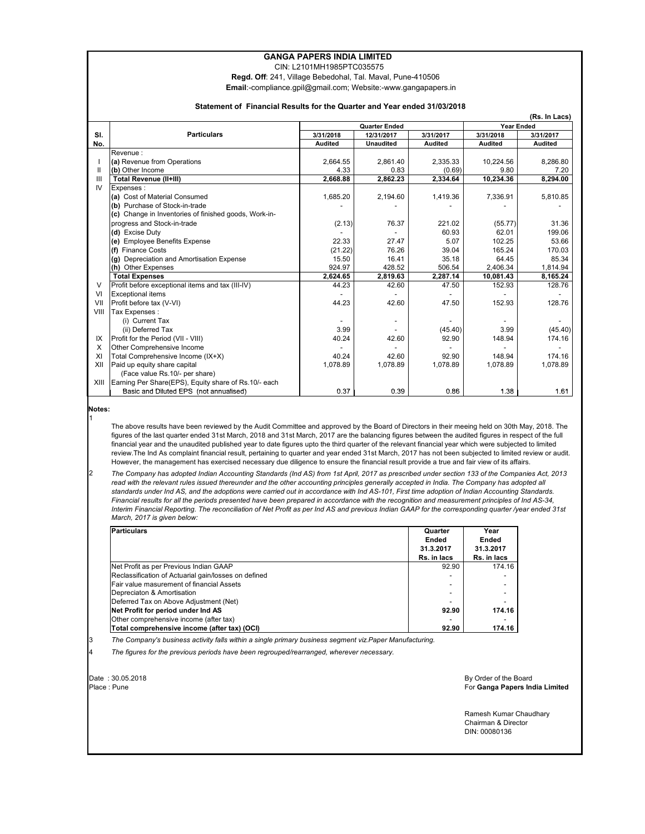## **GANGA PAPERS INDIA LIMITED**

CIN: L2101MH1985PTC035575

 **Regd. Off**: 241, Village Bebedohal, Tal. Maval, Pune-410506

**Email**:-compliance.gpil@gmail.com; Website:-www.gangapapers.in

## **Statement of Financial Results for the Quarter and Year ended 31/03/2018**

|              | (Rs. In Lacs)                                         |                      |                  |                |                   |                |  |
|--------------|-------------------------------------------------------|----------------------|------------------|----------------|-------------------|----------------|--|
|              |                                                       | <b>Quarter Ended</b> |                  |                | <b>Year Ended</b> |                |  |
| SI.          | <b>Particulars</b>                                    | 3/31/2018            | 12/31/2017       | 3/31/2017      | 3/31/2018         | 3/31/2017      |  |
| No.          |                                                       | <b>Audited</b>       | <b>Unaudited</b> | <b>Audited</b> | <b>Audited</b>    | <b>Audited</b> |  |
|              | Revenue:                                              |                      |                  |                |                   |                |  |
|              | (a) Revenue from Operations                           | 2,664.55             | 2,861.40         | 2,335.33       | 10,224.56         | 8,286.80       |  |
| $\mathbf{I}$ | (b) Other Income                                      | 4.33                 | 0.83             | (0.69)         | 9.80              | 7.20           |  |
| Ш            | <b>Total Revenue (II+III)</b>                         | 2,668.88             | 2,862.23         | 2.334.64       | 10,234.36         | 8,294.00       |  |
| IV           | Expenses:                                             |                      |                  |                |                   |                |  |
|              | (a) Cost of Material Consumed                         | 1,685.20             | 2,194.60         | 1,419.36       | 7,336.91          | 5,810.85       |  |
|              | (b) Purchase of Stock-in-trade                        |                      |                  |                |                   |                |  |
|              | (c) Change in Inventories of finished goods, Work-in- |                      |                  |                |                   |                |  |
|              | progress and Stock-in-trade                           | (2.13)               | 76.37            | 221.02         | (55.77)           | 31.36          |  |
|              | (d) Excise Duty                                       |                      |                  | 60.93          | 62.01             | 199.06         |  |
|              | (e) Employee Benefits Expense                         | 22.33                | 27.47            | 5.07           | 102.25            | 53.66          |  |
|              | (f) Finance Costs                                     | (21.22)              | 76.26            | 39.04          | 165.24            | 170.03         |  |
|              | Depreciation and Amortisation Expense<br>(g)          | 15.50                | 16.41            | 35.18          | 64.45             | 85.34          |  |
|              | (h) Other Expenses                                    | 924.97               | 428.52           | 506.54         | 2,406.34          | 1,814.94       |  |
|              | <b>Total Expenses</b>                                 | 2,624.65             | 2,819.63         | 2,287.14       | 10,081.43         | 8,165.24       |  |
| v            | Profit before exceptional items and tax (III-IV)      | 44.23                | 42.60            | 47.50          | 152.93            | 128.76         |  |
| VI           | <b>Exceptional items</b>                              |                      |                  |                |                   |                |  |
| VII          | Profit before tax (V-VI)                              | 44.23                | 42.60            | 47.50          | 152.93            | 128.76         |  |
| VIII         | Tax Expenses:                                         |                      |                  |                |                   |                |  |
|              | (i) Current Tax                                       |                      |                  |                |                   |                |  |
|              | (ii) Deferred Tax                                     | 3.99                 |                  | (45.40)        | 3.99              | (45.40)        |  |
| IX           | Profit for the Period (VII - VIII)                    | 40.24                | 42.60            | 92.90          | 148.94            | 174.16         |  |
| X            | Other Comprehensive Income                            |                      |                  |                |                   |                |  |
| XI           | Total Comprehensive Income (IX+X)                     | 40.24                | 42.60            | 92.90          | 148.94            | 174.16         |  |
| XII          | Paid up equity share capital                          | 1,078.89             | 1,078.89         | 1,078.89       | 1,078.89          | 1,078.89       |  |
|              | (Face value Rs.10/- per share)                        |                      |                  |                |                   |                |  |
| XIII         | Earning Per Share(EPS), Equity share of Rs.10/- each  |                      |                  |                |                   |                |  |
|              | Basic and Diluted EPS (not annualised)                | 0.37                 | 0.39             | 0.86           | 1.38              | 1.61           |  |

## **Notes:** 1

The above results have been reviewed by the Audit Committee and approved by the Board of Directors in their meeing held on 30th May, 2018. The figures of the last quarter ended 31st March, 2018 and 31st March, 2017 are the balancing figures between the audited figures in respect of the full financial year and the unaudited published year to date figures upto the third quarter of the relevant financial year which were subjected to limited review.The Ind As complaint financial result, pertaining to quarter and year ended 31st March, 2017 has not been subjected to limited review or audit. However, the management has exercised necessary due diligence to ensure the financial result provide a true and fair view of its affairs.

2 *The Company has adopted Indian Accounting Standards (Ind AS) from 1st April, 2017 as prescribed under section 133 of the Companies Act, 2013*  read with the relevant rules issued thereunder and the other accounting principles generally accepted in India. The Company has adopted all *standards under Ind AS, and the adoptions were carried out in accordance with Ind AS-101, First time adoption of Indian Accounting Standards. Financial results for all the periods presented have been prepared in accordance with the recognition and measurement principles of Ind AS-34, Interim Financial Reporting. The reconciliation of Net Profit as per Ind AS and previous Indian GAAP for the corresponding quarter /year ended 31st March, 2017 is given below:*

| Particulars                                          | Quarter<br>Ended         | Year<br>Ended            |
|------------------------------------------------------|--------------------------|--------------------------|
|                                                      | 31.3.2017<br>Rs. in lacs | 31.3.2017<br>Rs. in lacs |
| Net Profit as per Previous Indian GAAP               | 92.90                    | 174.16                   |
| Reclassification of Actuarial gain/losses on defined |                          |                          |
| Fair value masurement of financial Assets            |                          |                          |
| Depreciaton & Amortisation                           | -                        |                          |
| Deferred Tax on Above Adjustment (Net)               |                          |                          |
| Net Profit for period under Ind AS                   | 92.90                    | 174.16                   |
| Other comprehensive income (after tax)               |                          |                          |
| Total comprehensive income (after tax) (OCI)         | 92.90                    | 174.16                   |

3 *The Company's business activity falls within a single primary business segment viz.Paper Manufacturing.*

4 *The figures for the previous periods have been regrouped/rearranged, wherever necessary.*

Date : 30.05.2018

Place : Pune For **Ganga Papers India Limited** By Order of the Board

> Ramesh Kumar Chaudhary Chairman & Director DIN: 00080136